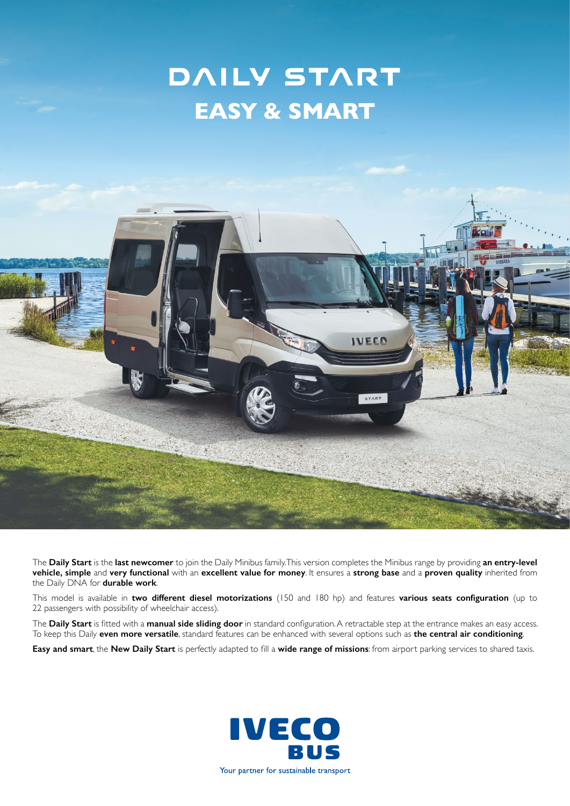## **DAILY START EASY & SMART**



The **Daily Start** is the **last newcomer** to join the Daily Minibus family. This version completes the Minibus range by providing **an entry-level vehicle, simple** and **very functional** with an **excellent value for money**. It ensures a **strong base** and a **proven quality** inherited from the Daily DNA for **durable work**.

This model is available in **two different diesel motorizations** (150 and 180 hp) and features **various seats configuration** (up to 22 passengers with possibility of wheelchair access).

The **Daily Start** is fitted with a **manual side sliding door** in standard configuration. A retractable step at the entrance makes an easy access. To keep this Daily **even more versatile**, standard features can be enhanced with several options such as **the central air conditioning**.

**Easy and smart**, the **New Daily Start** is perfectly adapted to fill a **wide range of missions**: from airport parking services to shared taxis.